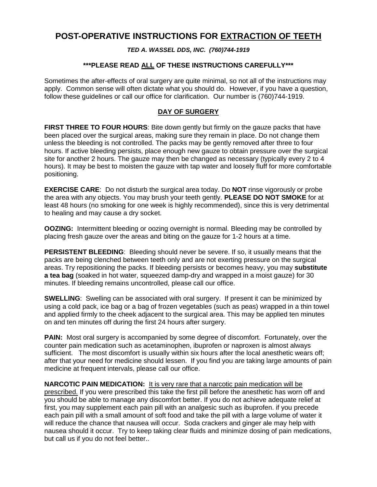# **POST-OPERATIVE INSTRUCTIONS FOR EXTRACTION OF TEETH**

#### *TED A. WASSEL DDS, INC. (760)744-1919*

### **\*\*\*PLEASE READ ALL OF THESE INSTRUCTIONS CAREFULLY\*\*\***

Sometimes the after-effects of oral surgery are quite minimal, so not all of the instructions may apply. Common sense will often dictate what you should do. However, if you have a question, follow these guidelines or call our office for clarification. Our number is (760)744-1919.

#### **DAY OF SURGERY**

**FIRST THREE TO FOUR HOURS**: Bite down gently but firmly on the gauze packs that have been placed over the surgical areas, making sure they remain in place. Do not change them unless the bleeding is not controlled. The packs may be gently removed after three to four hours. If active bleeding persists, place enough new gauze to obtain pressure over the surgical site for another 2 hours. The gauze may then be changed as necessary (typically every 2 to 4 hours). It may be best to moisten the gauze with tap water and loosely fluff for more comfortable positioning.

**EXERCISE CARE**: Do not disturb the surgical area today. Do **NOT** rinse vigorously or probe the area with any objects. You may brush your teeth gently. **PLEASE DO NOT SMOKE** for at least 48 hours (no smoking for one week is highly recommended), since this is very detrimental to healing and may cause a dry socket.

**OOZING:** Intermittent bleeding or oozing overnight is normal. Bleeding may be controlled by placing fresh gauze over the areas and biting on the gauze for 1-2 hours at a time.

**PERSISTENT BLEEDING:** Bleeding should never be severe. If so, it usually means that the packs are being clenched between teeth only and are not exerting pressure on the surgical areas. Try repositioning the packs. If bleeding persists or becomes heavy, you may **substitute a tea bag** (soaked in hot water, squeezed damp-dry and wrapped in a moist gauze) for 30 minutes. If bleeding remains uncontrolled, please call our office.

**SWELLING**: Swelling can be associated with oral surgery. If present it can be minimized by using a cold pack, ice bag or a bag of frozen vegetables (such as peas) wrapped in a thin towel and applied firmly to the cheek adjacent to the surgical area. This may be applied ten minutes on and ten minutes off during the first 24 hours after surgery.

**PAIN:** Most oral surgery is accompanied by some degree of discomfort. Fortunately, over the counter pain medication such as acetaminophen, ibuprofen or naproxen is almost always sufficient. The most discomfort is usually within six hours after the local anesthetic wears off; after that your need for medicine should lessen. If you find you are taking large amounts of pain medicine at frequent intervals, please call our office.

**NARCOTIC PAIN MEDICATION:** It is very rare that a narcotic pain medication will be prescribed. If you were prescribed this take the first pill before the anesthetic has worn off and you should be able to manage any discomfort better. If you do not achieve adequate relief at first, you may supplement each pain pill with an analgesic such as ibuprofen. if you precede each pain pill with a small amount of soft food and take the pill with a large volume of water it will reduce the chance that nausea will occur. Soda crackers and ginger ale may help with nausea should it occur. Try to keep taking clear fluids and minimize dosing of pain medications, but call us if you do not feel better..